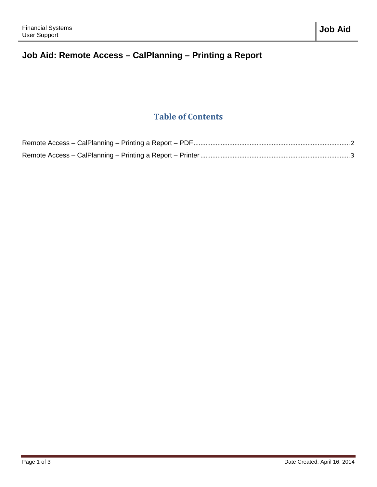## **Job Aid: Remote Access – CalPlanning – Printing a Report**

## **Table of Contents**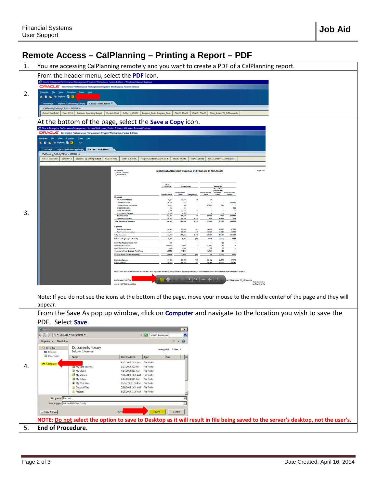## <span id="page-1-0"></span>**Remote Access – CalPlanning – Printing a Report – PDF**

|    | י טטטטרו אינוויטרו<br>שוווווווווווווווש<br><b>THING ANGALI</b>                                                                                                                                                                                                             |
|----|----------------------------------------------------------------------------------------------------------------------------------------------------------------------------------------------------------------------------------------------------------------------------|
| 1. | You are accessing CalPlanning remotely and you want to create a PDF of a CalPlanning report.                                                                                                                                                                               |
|    | From the header menu, select the PDF icon.                                                                                                                                                                                                                                 |
|    | ise Performance Management System Workspace, Fusion Edition - W                                                                                                                                                                                                            |
|    | ORACLE taterprise Performance Management System Workspace, Fusion Edition<br>Elle View Favorites Tools Help                                                                                                                                                                |
| 2. | & & bakes Q R                                                                                                                                                                                                                                                              |
|    | Explore: /Californing/Caligns CR102 - SRECNA Hi<br>CalPlanning/CalPptg/OR182 - SRECNA Hi                                                                                                                                                                                   |
|    | Chartl: Chartl.<br>Chart2: Chart2<br>Period: YearTotal   Year: PY14  <br>Scenario: Operating Budget<br>Ereby: 1_5010L<br>Program_Code: Program_Code<br>Time_Series: TS_InThousands<br>Version: Final                                                                       |
|    | At the bottom of the page, select the <b>Save a Copy</b> icon.                                                                                                                                                                                                             |
|    | C Oracle Enterprise Performance Management System Workspace, Fusion Edition - Windows Internet Explorer                                                                                                                                                                    |
|    | ORACLE' Enterprise Performance Management System Workspace, Fusion Edition<br>vigate Elle View Favorites Tools Help                                                                                                                                                        |
|    | - 참 Dolore 그 년                                                                                                                                                                                                                                                             |
|    | Explore: /CalPlanning/CalRptg <sup>3</sup> CR102 - SRECNA Hi<br>/CalPlanning/CalRotg/CR102 - SRECNA Hi                                                                                                                                                                     |
|    | Period: YearTotal<br>Year: FY14<br>Version: Final<br>Entity: 1_SCHOL<br>Chart1: Chart1<br>Chart2: Chart2<br>Time_Series: TS_InThousands<br><b>Scenario: Operating Budget</b><br>Program_Code: Program_Code                                                                 |
|    |                                                                                                                                                                                                                                                                            |
|    | Page 1 of 1<br><b>JC Bedal</b><br>Statement of Revenue, Expense and Changes to Net Assets<br>1_SCHOL - Strees                                                                                                                                                              |
|    | Total                                                                                                                                                                                                                                                                      |
|    | PY 2013-14<br>Restrictes<br>Restricted<br>Endowma<br><b>Restricted Gift</b><br>and FFEs Contracts and                                                                                                                                                                      |
|    | Current Funds<br>Grants<br>Funds<br><b>Designated</b><br>Funds<br><b>Fund</b><br>Revenues<br>Net Tutton and Fees<br>09.874<br>99,814<br>34                                                                                                                                 |
|    | 126,094<br>412<br>135,682<br>Contracts & Crants<br>27,267<br>Private Gifts for Current Use<br>36,137<br>7,724<br>156<br>144<br>investment income                                                                                                                           |
| 3. | 145<br>(1)<br>Sales and Service<br>22.246<br>22.234<br>12<br>4,200<br>4,200<br>Noncoerating Revenue                                                                                                                                                                        |
|    | <b>Total Revenue</b><br>207,555<br>126,515<br>58<br>27,251<br>7.724<br>115,827<br><b>Operating Transfers</b><br>113,587<br>102,823<br>1,115<br>sira<br>14,426<br>551<br><b>Total Revenue &amp; Transfers</b><br>416,982<br>229,338<br>1,153<br>27,863<br>22,150<br>106,378 |
|    | Expenses<br>234.439<br>168,286<br>221<br>14.030<br>37.606<br><b>Total Compensatio</b><br>13.697                                                                                                                                                                            |
|    | 176,901<br>58,979<br>12,029<br>92.822<br><b>Total Non Compensator</b><br>267<br>12,803<br><b>Total Expenses</b><br>411,540<br>227,264<br>1,183<br>24,053<br>26,401<br>130,427                                                                                              |
|    | 5,642<br>2.074<br>1,505<br>(4,251)<br>5,550<br>Net Operating Surplus/Denci<br>$^{[34]}$<br>400<br>From (To) Regents Endow Poo<br>400<br>From (To) Plant Funds<br>(2,000)<br>(50)                                                                                           |
|    | (10, 450)<br>(8,400)<br>From (To) All Other Fund Ball<br>1,380<br>1,200<br>105<br>$\mathbf{H}$<br>Changes in Fund Balance - Post(Neg)<br>(0,670)<br>(7,200)<br>(1,835)<br>425                                                                                              |
|    | Change in Net Assets - Post<br>(3,028)<br>15,128<br>(3,828)<br>5.550<br>egnning Balance<br>33.134<br>111,073<br>29.879<br>19,353                                                                                                                                           |
|    | 101,045<br>24,753<br>33,144<br>15,558<br>33,640<br>Ending Balance                                                                                                                                                                                                          |
|    | lease note: FY11 and FY12 Actual columns have been adjusted to include Operating Transfers, Beginning and Ending balances populated from BAIRS TempBudg for comparison pur;                                                                                                |
|    | $-1$ , $1$ , $1$ , and a set of $\alpha$ , $\beta$<br><b>POV -Period: YearTotal</b><br>rt2, Time Series: TS_InThousands<br>Date: 04/15/2014<br>CR102 - SRECNA H - Calloto<br>un Time: 1:54 PM                                                                              |
|    |                                                                                                                                                                                                                                                                            |
|    | Note: If you do not see the icons at the bottom of the page, move your mouse to the middle center of the page and they will                                                                                                                                                |
|    | appear.                                                                                                                                                                                                                                                                    |
|    | From the Save As pop up window, click on Computer and navigate to the location you wish to save the                                                                                                                                                                        |
|    | PDF. Select Save.                                                                                                                                                                                                                                                          |
|    | $\vert x \vert$                                                                                                                                                                                                                                                            |
|    | Documents * Documents *<br>CD Search Documents                                                                                                                                                                                                                             |
|    | 三 · 新<br>Organize - New folder                                                                                                                                                                                                                                             |
|    | Documents library<br>Favorites<br>Arrange by: Folder<br>Includes: 2 locations<br>Desktop                                                                                                                                                                                   |
|    | Downloads<br>Date modified<br>Size<br>Name -<br>Type                                                                                                                                                                                                                       |
| 4. | 6/17/2013 12:36 PM File folder<br><b>E</b> Computer<br>[e] My Data Sources<br>1/27/2014 3:23 PM File folder                                                                                                                                                                |
|    | My Music<br>4/14/2014 8:11 AM File folder<br>My Shapes<br>5/16/2013 10:24 AM File folder                                                                                                                                                                                   |
|    | My Videos<br>4/14/2014 8:11 AM File folder<br>U My Web Sites<br>11/14/2013 1:10 PM File folder                                                                                                                                                                             |
|    | <b>Dutlook Files</b><br>5/16/2013 10:24 AM File folder<br>Projects<br>6/28/2013 11:26 AM File folder                                                                                                                                                                       |
|    | File name: Request<br>$\overline{\phantom{a}}$                                                                                                                                                                                                                             |
|    | Save as type: Adobe PDF Files (*.pdf)<br>$\overline{\phantom{a}}$                                                                                                                                                                                                          |
|    | Cancel<br>Save<br>- Hide Folders                                                                                                                                                                                                                                           |
|    | NOTE: Do not select the option to save to Desktop as it will result in file being saved to the server's desktop, not the user's.                                                                                                                                           |
| 5. | End of Procedure.                                                                                                                                                                                                                                                          |
|    |                                                                                                                                                                                                                                                                            |